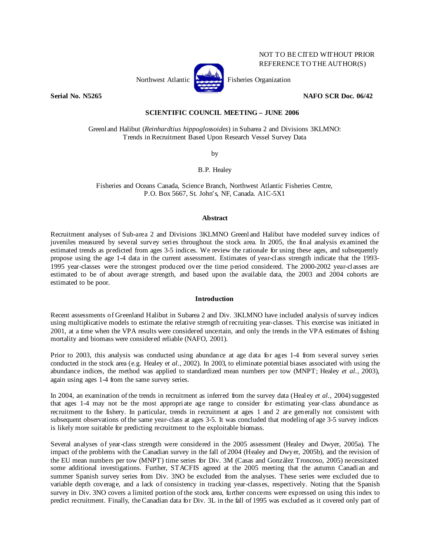

**Serial No. N5265 NAFO SCR Doc. 06/42** 

NOT TO BE CITED WITHOUT PRIOR REFERENCE TO THE AUTHOR(S)

# **SCIENTIFIC COUNCIL MEETING – JUNE 2006**

Greenland Halibut (*Reinhardtius hippoglossoides*) in Subarea 2 and Divisions 3KLMNO: Trends in Recruitment Based Upon Research Vessel Survey Data

by

B.P. Healey

Fisheries and Oceans Canada, Science Branch, Northwest Atlantic Fisheries Centre, P.O. Box 5667, St. John's, NF, Canada. A1C-5X1

## **Abstract**

Recruitment analyses of Sub-area 2 and Divisions 3KLMNO Greenland Halibut have modeled survey indices of juveniles measured by several survey series throughout the stock area. In 2005, the final analysis examined the estimated trends as predicted from ages 3-5 indices. We review the rationale for using these ages, and subsequently propose using the age 1-4 data in the current assessment. Estimates of year-class strength indicate that the 1993- 1995 year-classes were the strongest produced over the time period considered. The 2000-2002 year-classes are estimated to be of about average strength, and based upon the available data, the 2003 and 2004 cohorts are estimated to be poor.

## **Introduction**

Recent assessments of Greenland Halibut in Subarea 2 and Div. 3KLMNO have included analysis of survey indices using multiplicative models to estimate the relative strength of recruiting year-classes. This exercise was initiated in 2001, at a time when the VPA results were considered uncertain, and only the trends in the VPA estimates of fishing mortality and biomass were considered reliable (NAFO, 2001).

Prior to 2003, this analysis was conducted using abundance at age data for ages 1-4 from several survey series conducted in the stock area (e.g. Healey e*t al*., 2002). In 2003, to eliminate potential biases associated with using the abundance indices, the method was applied to standardized mean numbers per tow (MNPT; Healey *et al.*, 2003), again using ages 1-4 from the same survey series.

In 2004, an examination of the trends in recruitment as inferred from the survey data (Healey *et al*., 2004) suggested that ages 1-4 may not be the most appropriate age range to consider for estimating year-class abundance as recruitment to the fishery. In particular, trends in recruitment at ages 1 and 2 are generally not consistent with subsequent observations of the same year-class at ages 3-5. It was concluded that modeling of age 3-5 survey indices is likely more suitable for predicting recruitment to the exploitable biomass.

Several analyses of year-class strength were considered in the 2005 assessment (Healey and Dwyer, 2005a). The impact of the problems with the Canadian survey in the fall of 2004 (Healey and Dwyer, 2005b), and the revision of the EU mean numbers per tow (MNPT) time series for Div. 3M (Casas and González Troncoso, 2005) necessitated some additional investigations. Further, STACFIS agreed at the 2005 meeting that the autumn Canadian and summer Spanish survey series from Div. 3NO be excluded from the analyses. These series were excluded due to variable depth coverage, and a lack of consistency in tracking year-classes, respectively. Noting that the Spanish survey in Div. 3NO covers a limited portion of the stock area, further concerns were expressed on using this index to predict recruitment. Finally, the Canadian data for Div. 3L in the fall of 1995 was excluded as it covered only part of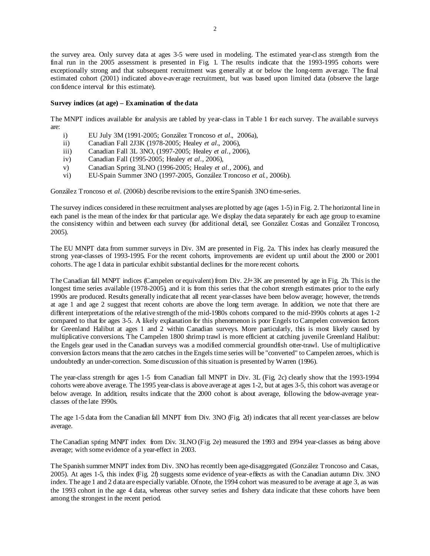the survey area. Only survey data at ages 3-5 were used in modeling. The estimated year-class strength from the final run in the 2005 assessment is presented in Fig. 1. The results indicate that the 1993-1995 cohorts were exceptionally strong and that subsequent recruitment was generally at or below the long-term average. The final estimated cohort (2001) indicated above-average recruitment, but was based upon limited data (observe the large confidence interval for this estimate).

### **Survey indices (at age) – Examination of the data**

The MNPT indices available for analysis are tabled by year-class in Table 1 for each survey. The available surveys are:

- i) EU July 3M (1991-2005; González Troncoso *et al*., 2006a),
- ii) Canadian Fall 2J3K (1978-2005; Healey *et al*., 2006),
- iii) Canadian Fall 3L 3NO, (1997-2005; Healey *et al*., 2006),
- iv) Canadian Fall (1995-2005; Healey *et al*., 2006),
- v) Canadian Spring 3LNO (1996-2005; Healey *et al*., 2006), and
- vi) EU-Spain Summer 3NO (1997-2005, González Troncoso *et al.*, 2006b).

González Troncoso et *al.* (2006b) describe revisions to the entire Spanish 3NO time-series.

The survey indices considered in these recruitment analyses are plotted by age (ages 1-5) in Fig. 2. The horizontal line in each panel is the mean of the index for that particular age. We display the data separately for each age group to examine the consistency within and between each survey (for additional detail, see González Costas and González Troncoso, 2005).

The EU MNPT data from summer surveys in Div. 3M are presented in Fig. 2a. This index has clearly measured the strong year-classes of 1993-1995. For the recent cohorts, improvements are evident up until about the 2000 or 2001 cohorts. The age 1 data in particular exhibit substantial declines for the more recent cohorts.

The Canadian fall MNPT indices (Campelen or equivalent) from Div. 2J+3K are presented by age in Fig. 2b. This is the longest time series available (1978-2005), and it is from this series that the cohort strength estimates prior to the early 1990s are produced. Results generally indicate that all recent year-classes have been below average; however, the trends at age 1 and age 2 suggest that recent cohorts are above the long term average. In addition, we note that there are different interpretations of the relative strength of the mid-1980s cohorts compared to the mid-1990s cohorts at ages 1-2 compared to that for ages 3-5. A likely explanation for this phenomenon is poor Engels to Campelen conversion factors for Greenland Halibut at ages 1 and 2 within Canadian surveys. More particularly, this is most likely caused by multiplicative conversions. The Campelen 1800 shrimp trawl is more efficient at catching juvenile Greenland Halibut: the Engels gear used in the Canadian surveys was a modified commercial groundfish otter-trawl. Use of multiplicative conversion factors means that the zero catches in the Engels time series will be "converted" to Campelen zeroes, which is undoubtedly an under-correction. Some discussion of this situation is presented by Warren (1996).

The year-class strength for ages 1-5 from Canadian fall MNPT in Div. 3L (Fig. 2c) clearly show that the 1993-1994 cohorts were above average. The 1995 year-class is above average at ages 1-2, but at ages 3-5, this cohort was average or below average. In addition, results indicate that the 2000 cohort is about average, following the below-average yearclasses of the late 1990s.

The age 1-5 data from the Canadian fall MNPT from Div. 3NO (Fig. 2d) indicates that all recent year-classes are below average.

The Canadian spring MNPT index from Div. 3LNO (Fig. 2e) measured the 1993 and 1994 year-classes as being above average; with some evidence of a year-effect in 2003.

The Spanish summer MNPT index from Div. 3NO has recently been age-disaggregated (González Troncoso and Casas, 2005). At ages 1-5, this index (Fig. 2f) suggests some evidence of year-effects as with the Canadian autumn Div. 3NO index. The age 1 and 2 data are especially variable. Of note, the 1994 cohort was measured to be average at age 3, as was the 1993 cohort in the age 4 data, whereas other survey series and fishery data indicate that these cohorts have been among the strongest in the recent period.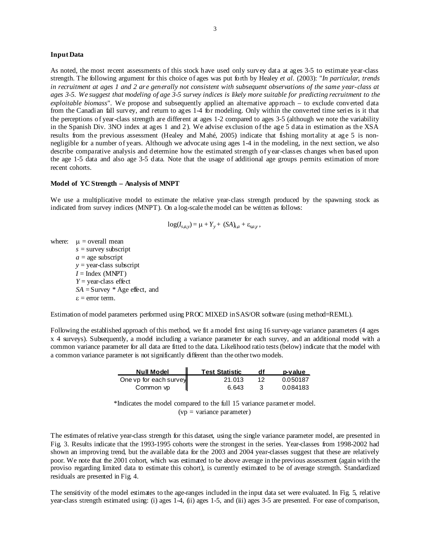#### **Input Data**

As noted, the most recent assessments of this stock have used only survey data at ages 3-5 to estimate year-class strength. The following argument for this choice of ages was put forth by Healey *et al.* (2003): "*In particular, trends in recruitment at ages 1 and 2 are generally not consistent with subsequent observations of the same year-class at ages 3-5. We suggest that modeling of age 3-5 survey indices is likely more suitable for predicting recruitment to the exploitable biomass*". We propose and subsequently applied an alternative approach – to exclude converted data from the Canadian fall survey, and return to ages 1-4 for modeling. Only within the converted time series is it that the perceptions of year-class strength are different at ages 1-2 compared to ages 3-5 (although we note the variability in the Spanish Div. 3NO index at ages 1 and 2). We advise exclusion of the age 5 data in estimation as the XSA results from the previous assessment (Healey and Mahé, 2005) indicate that fishing mortality at age 5 is nonnegligible for a number of years. Although we advocate using ages 1-4 in the modeling, in the next section, we also describe comparative analysis and determine how the estimated strength of year-classes changes when based upon the age 1-5 data and also age 3-5 data. Note that the usage of additional age groups permits estimation of more recent cohorts.

#### **Model of YC Strength – Analysis of MNPT**

We use a multiplicative model to estimate the relative year-class strength produced by the spawning stock as indicated from survey indices (MNPT). On a log-scale the model can be written as follows:

$$
log(I_{s,a,y}) = \mu + Y_y + (SA)_{s,a} + \varepsilon_{sa,y},
$$

where:  $\mu$  = overall mean *s* = survey subscript  $a =$ age subscript *y* = year-class subscript  $I = Index (MNPT)$ *Y* = year-class effect *SA* = Survey \* Age effect, and  $\varepsilon$  = error term.

Estimation of model parameters performed using PROC MIXED in SAS/OR software (using method=REML).

Following the established approach of this method, we fit a model first using 16 survey-age variance parameters (4 ages x 4 surveys). Subsequently, a model including a variance parameter for each survey, and an additional model with a common variance parameter for all data are fitted to the data. Likelihood ratio tests (below) indicate that the model with a common variance parameter is not significantly different than the other two models.

| <b>Null Model</b>      | <b>Test Statistic</b> | df | p-value  |
|------------------------|-----------------------|----|----------|
| One vp for each survey | 21.013                | 12 | 0.050187 |
| Common vp              | 6.643                 |    | 0.084183 |

\*Indicates the model compared to the full 15 variance parameter model.  $(vp = variance parameter)$ 

The estimates of relative year-class strength for this dataset, using the single variance parameter model, are presented in Fig. 3. Results indicate that the 1993-1995 cohorts were the strongest in the series. Year-classes from 1998-2002 had shown an improving trend, but the available data for the 2003 and 2004 year-classes suggest that these are relatively poor. We note that the 2001 cohort, which was estimated to be above average in the previous assessment (again with the proviso regarding limited data to estimate this cohort), is currently estimated to be of average strength. Standardized residuals are presented in Fig. 4.

The sensitivity of the model estimates to the age-ranges included in the input data set were evaluated. In Fig. 5, relative year-class strength estimated using: (i) ages 1-4, (ii) ages 1-5, and (iii) ages 3-5 are presented. For ease of comparison,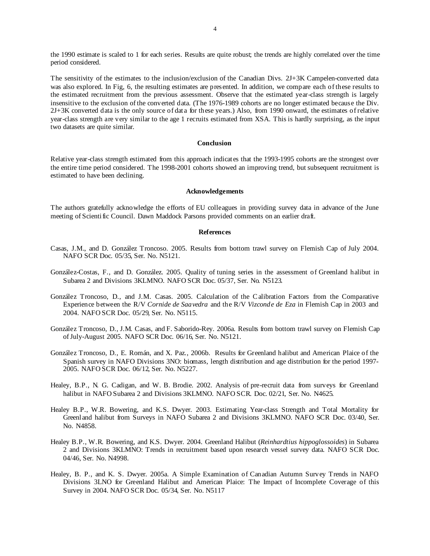the 1990 estimate is scaled to 1 for each series. Results are quite robust; the trends are highly correlated over the time period considered.

The sensitivity of the estimates to the inclusion/exclusion of the Canadian Divs. 2J+3K Campelen-converted data was also explored. In Fig, 6, the resulting estimates are presented. In addition, we compare each of these results to the estimated recruitment from the previous assessment. Observe that the estimated year-class strength is largely insensitive to the exclusion of the converted data. (The 1976-1989 cohorts are no longer estimated because the Div. 2J+3K converted data is the only source of data for these years.) Also, from 1990 onward, the estimates of relative year-class strength are very similar to the age 1 recruits estimated from XSA. This is hardly surprising, as the input two datasets are quite similar.

#### **Conclusion**

Relative year-class strength estimated from this approach indicates that the 1993-1995 cohorts are the strongest over the entire time period considered. The 1998-2001 cohorts showed an improving trend, but subsequent recruitment is estimated to have been declining.

#### **Acknowledgements**

The authors gratefully acknowledge the efforts of EU colleagues in providing survey data in advance of the June meeting of Scientific Council. Dawn Maddock Parsons provided comments on an earlier draft.

#### **References**

- Casas, J.M., and D. González Troncoso. 2005. Results from bottom trawl survey on Flemish Cap of July 2004. NAFO SCR Doc. 05/35, Ser. No. N5121.
- González-Costas, F., and D. González. 2005. Quality of tuning series in the assessment of Greenland halibut in Subarea 2 and Divisions 3KLMNO. NAFO SCR Doc. 05/37, Ser. No. N5123.
- González Troncoso, D., and J.M. Casas. 2005. Calculation of the C alibration Factors from the Comparative Experience between the R/V *Cornide de Saavedra* and the R/V *Vizconde de Eza* in Flemish Cap in 2003 and 2004. NAFO SCR Doc. 05/29, Ser. No. N5115.
- González Troncoso, D., J.M. Casas, and F. Saborido-Rey. 2006a. Results from bottom trawl survey on Flemish Cap of July-August 2005. NAFO SCR Doc. 06/16, Ser. No. N5121.
- González Troncoso, D., E. Román, and X. Paz., 2006b. Results for Greenland halibut and American Plaice of the Spanish survey in NAFO Divisions 3NO: biomass, length distribution and age distribution for the period 1997- 2005. NAFO SCR Doc. 06/12, Ser. No. N5227.
- Healey, B.P., N. G. Cadigan, and W. B. Brodie. 2002. Analysis of pre-recruit data from surveys for Greenland halibut in NAFO Subarea 2 and Divisions 3KLMNO. NAFO SCR. Doc. 02/21, Ser. No. N4625.
- Healey B.P., W.R. Bowering, and K.S. Dwyer. 2003. Estimating Year-class Strength and Total Mortality for Greenland halibut from Surveys in NAFO Subarea 2 and Divisions 3KLMNO. NAFO SCR Doc. 03/40, Ser. No. N4858.
- Healey B.P., W.R. Bowering, and K.S. Dwyer. 2004. Greenland Halibut (*Reinhardtius hippoglossoides*) in Subarea 2 and Divisions 3KLMNO: Trends in recruitment based upon research vessel survey data. NAFO SCR Doc. 04/46, Ser. No. N4998.
- Healey, B. P., and K. S. Dwyer. 2005a. A Simple Examination of Canadian Autumn Survey Trends in NAFO Divisions 3LNO for Greenland Halibut and American Plaice: The Impact of Incomplete Coverage of this Survey in 2004. NAFO SCR Doc. 05/34, Ser. No. N5117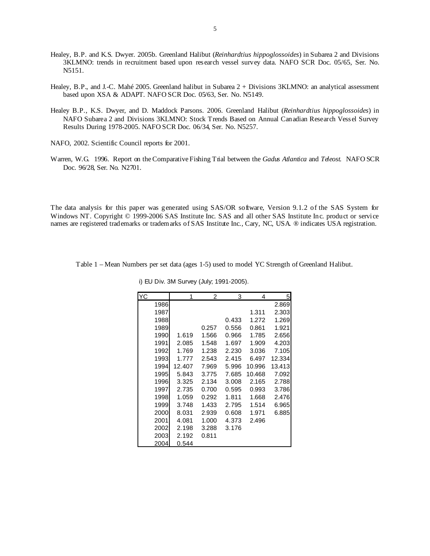- Healey, B.P. and K.S. Dwyer. 2005b. Greenland Halibut (*Reinhardtius hippoglossoides*) in Subarea 2 and Divisions 3KLMNO: trends in recruitment based upon research vessel survey data. NAFO SCR Doc. 05/65, Ser. No. N5151.
- Healey, B.P., and J.-C. Mahé 2005. Greenland halibut in Subarea 2 + Divisions 3KLMNO: an analytical assessment based upon XSA & ADAPT. NAFO SCR Doc. 05/63, Ser. No. N5149.
- Healey B.P., K.S. Dwyer, and D. Maddock Parsons. 2006. Greenland Halibut (*Reinhardtius hippoglossoides*) in NAFO Subarea 2 and Divisions 3KLMNO: Stock Trends Based on Annual Canadian Research Vessel Survey Results During 1978-2005. NAFO SCR Doc. 06/34, Ser. No. N5257.
- NAFO, 2002. Scientific Council reports for 2001.
- Warren, W.G. 1996. Report on the Comparative Fishing Trial between the *Gadus Atlantica* and *Teleost*. NAFO SCR Doc. 96/28, Ser. No. N2701.

The data analysis for this paper was generated using SAS/OR software, Version 9.1.2 of the SAS System for Windows NT. Copyright © 1999-2006 SAS Institute Inc. SAS and all other SAS Institute Inc. product or service names are registered trademarks or trademarks of SAS Institute Inc., Cary, NC, USA. ® indicates USA registration.

Table 1 – Mean Numbers per set data (ages 1-5) used to model YC Strength of Greenland Halibut.

| YC   | 1      | 2     | 3     | 4      | 5 <sub>l</sub> |
|------|--------|-------|-------|--------|----------------|
| 1986 |        |       |       |        | 2.869          |
| 1987 |        |       |       | 1.311  | 2.303          |
| 1988 |        |       | 0.433 | 1.272  | 1.269          |
| 1989 |        | 0.257 | 0.556 | 0.861  | 1.921          |
| 1990 | 1.619  | 1.566 | 0.966 | 1.785  | 2.656          |
| 1991 | 2.085  | 1.548 | 1.697 | 1.909  | 4.203          |
| 1992 | 1.769  | 1.238 | 2.230 | 3.036  | 7.105          |
| 1993 | 1.777  | 2.543 | 2.415 | 6.497  | 12.334         |
| 1994 | 12.407 | 7.969 | 5.996 | 10.996 | 13.413         |
| 1995 | 5.843  | 3.775 | 7.685 | 10.468 | 7.092          |
| 1996 | 3.325  | 2.134 | 3.008 | 2.165  | 2.788          |
| 1997 | 2.735  | 0.700 | 0.595 | 0.993  | 3.786          |
| 1998 | 1.059  | 0.292 | 1.811 | 1.668  | 2.476          |
| 1999 | 3.748  | 1.433 | 2.795 | 1.514  | 6.965          |
| 2000 | 8.031  | 2.939 | 0.608 | 1.971  | 6.885          |
| 2001 | 4.081  | 1.000 | 4.373 | 2.496  |                |
| 2002 | 2.198  | 3.288 | 3.176 |        |                |
| 2003 | 2.192  | 0.811 |       |        |                |
| 2004 | 0.544  |       |       |        |                |

i) EU Div. 3M Survey (July; 1991-2005).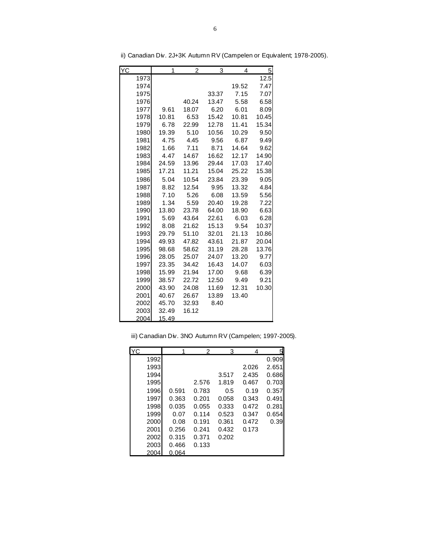| YC   | 1     | 2     | 3     | 4     | $\overline{5}$ |
|------|-------|-------|-------|-------|----------------|
| 1973 |       |       |       |       | 12.5           |
| 1974 |       |       |       | 19.52 | 7.47           |
| 1975 |       |       | 33.37 | 7.15  | 7.07           |
| 1976 |       | 40.24 | 13.47 | 5.58  | 6.58           |
| 1977 | 9.61  | 18.07 | 6.20  | 6.01  | 8.09           |
| 1978 | 10.81 | 6.53  | 15.42 | 10.81 | 10.45          |
| 1979 | 6.78  | 22.99 | 12.78 | 11.41 | 15.34          |
| 1980 | 19.39 | 5.10  | 10.56 | 10.29 | 9.50           |
| 1981 | 4.75  | 4.45  | 9.56  | 6.87  | 9.49           |
| 1982 | 1.66  | 7.11  | 8.71  | 14.64 | 9.62           |
| 1983 | 4.47  | 14.67 | 16.62 | 12.17 | 14.90          |
| 1984 | 24.59 | 13.96 | 29.44 | 17.03 | 17.40          |
| 1985 | 17.21 | 11.21 | 15.04 | 25.22 | 15.38          |
| 1986 | 5.04  | 10.54 | 23.84 | 23.39 | 9.05           |
| 1987 | 8.82  | 12.54 | 9.95  | 13.32 | 4.84           |
| 1988 | 7.10  | 5.26  | 6.08  | 13.59 | 5.56           |
| 1989 | 1.34  | 5.59  | 20.40 | 19.28 | 7.22           |
| 1990 | 13.80 | 23.78 | 64.00 | 18.90 | 6.63           |
| 1991 | 5.69  | 43.64 | 22.61 | 6.03  | 6.28           |
| 1992 | 8.08  | 21.62 | 15.13 | 9.54  | 10.37          |
| 1993 | 29.79 | 51.10 | 32.01 | 21.13 | 10.86          |
| 1994 | 49.93 | 47.82 | 43.61 | 21.87 | 20.04          |
| 1995 | 98.68 | 58.62 | 31.19 | 28.28 | 13.76          |
| 1996 | 28.05 | 25.07 | 24.07 | 13.20 | 9.77           |
| 1997 | 23.35 | 34.42 | 16.43 | 14.07 | 6.03           |
| 1998 | 15.99 | 21.94 | 17.00 | 9.68  | 6.39           |
| 1999 | 38.57 | 22.72 | 12.50 | 9.49  | 9.21           |
| 2000 | 43.90 | 24.08 | 11.69 | 12.31 | 10.30          |
| 2001 | 40.67 | 26.67 | 13.89 | 13.40 |                |
| 2002 | 45.70 | 32.93 | 8.40  |       |                |
| 2003 | 32.49 | 16.12 |       |       |                |
| 2004 | 15.49 |       |       |       |                |

ii) Canadian Div. 2J+3K Autumn RV (Campelen or Equivalent; 1978-2005).

|  |  |  |  |  |  |  | iii) Canadian Div. 3NO Autumn RV (Campelen; 1997-2005). |
|--|--|--|--|--|--|--|---------------------------------------------------------|
|--|--|--|--|--|--|--|---------------------------------------------------------|

| YC   |       | 2     | 3     | 4     | 5     |
|------|-------|-------|-------|-------|-------|
| 1992 |       |       |       |       | 0.909 |
| 1993 |       |       |       | 2.026 | 2.651 |
| 1994 |       |       | 3.517 | 2.435 | 0.686 |
| 1995 |       | 2.576 | 1.819 | 0.467 | 0.703 |
| 1996 | 0.591 | 0.783 | 0.5   | 0.19  | 0.357 |
| 1997 | 0.363 | 0.201 | 0.058 | 0.343 | 0.491 |
| 1998 | 0.035 | 0.055 | 0.333 | 0.472 | 0.281 |
| 1999 | 0.07  | 0.114 | 0.523 | 0.347 | 0.654 |
| 2000 | 0.08  | 0.191 | 0.361 | 0.472 | 0.39  |
| 2001 | 0.256 | 0.241 | 0.432 | 0.173 |       |
| 2002 | 0.315 | 0.371 | 0.202 |       |       |
| 2003 | 0.466 | 0.133 |       |       |       |
| 2004 | 0.064 |       |       |       |       |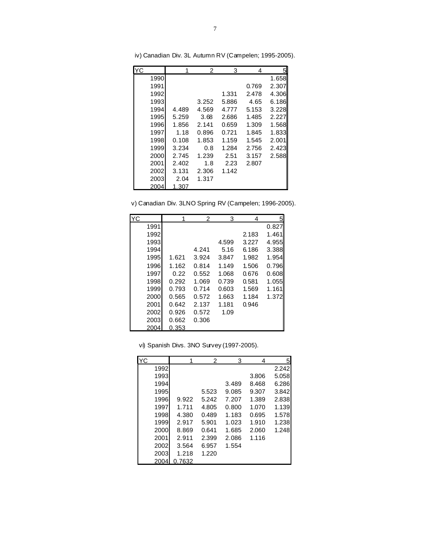| YC   |       | 2     | 3     | 4     | 51    |
|------|-------|-------|-------|-------|-------|
| 1990 |       |       |       |       | 1.658 |
| 1991 |       |       |       | 0.769 | 2.307 |
| 1992 |       |       | 1.331 | 2.478 | 4.306 |
| 1993 |       | 3.252 | 5.886 | 4.65  | 6.186 |
| 1994 | 4.489 | 4.569 | 4.777 | 5.153 | 3.228 |
| 1995 | 5.259 | 3.68  | 2.686 | 1.485 | 2.227 |
| 1996 | 1.856 | 2.141 | 0.659 | 1.309 | 1.568 |
| 1997 | 1.18  | 0.896 | 0.721 | 1.845 | 1.833 |
| 1998 | 0.108 | 1.853 | 1.159 | 1.545 | 2.001 |
| 1999 | 3.234 | 0.8   | 1.284 | 2.756 | 2.423 |
| 2000 | 2.745 | 1.239 | 2.51  | 3.157 | 2.588 |
| 2001 | 2.402 | 1.8   | 2.23  | 2.807 |       |
| 2002 | 3.131 | 2.306 | 1.142 |       |       |
| 2003 | 2.04  | 1.317 |       |       |       |
| 2004 | 1.307 |       |       |       |       |

iv) Canadian Div. 3L Autumn RV (Campelen; 1995-2005).

v) Canadian Div. 3LNO Spring RV (Campelen; 1996-2005).

| <b>YC</b> |       | 2     | 3     | 4     | 51    |
|-----------|-------|-------|-------|-------|-------|
| 1991      |       |       |       |       | 0.827 |
| 1992      |       |       |       | 2.183 | 1.461 |
| 1993      |       |       | 4.599 | 3.227 | 4.955 |
| 1994      |       | 4.241 | 5.16  | 6.186 | 3.388 |
| 1995      | 1.621 | 3.924 | 3.847 | 1.982 | 1.954 |
| 1996      | 1.162 | 0.814 | 1.149 | 1.506 | 0.796 |
| 1997      | 0.22  | 0.552 | 1.068 | 0.676 | 0.608 |
| 1998      | 0.292 | 1.069 | 0.739 | 0.581 | 1.055 |
| 1999      | 0.793 | 0.714 | 0.603 | 1.569 | 1.161 |
| 2000      | 0.565 | 0.572 | 1.663 | 1.184 | 1.372 |
| 2001      | 0.642 | 2.137 | 1.181 | 0.946 |       |
| 2002      | 0.926 | 0.572 | 1.09  |       |       |
| 2003      | 0.662 | 0.306 |       |       |       |
| 2004      | 0.353 |       |       |       |       |

vi) Spanish Divs. 3NO Survey (1997-2005).

| lYC. |        | 2     | 3     | 4     | 5     |
|------|--------|-------|-------|-------|-------|
| 1992 |        |       |       |       | 2.242 |
| 1993 |        |       |       | 3.806 | 5.058 |
| 1994 |        |       | 3.489 | 8.468 | 6.286 |
| 1995 |        | 5.523 | 9.085 | 9.307 | 3.842 |
| 1996 | 9.922  | 5.242 | 7.207 | 1.389 | 2.838 |
| 1997 | 1.711  | 4.805 | 0.800 | 1.070 | 1.139 |
| 1998 | 4.380  | 0.489 | 1.183 | 0.695 | 1.578 |
| 1999 | 2.917  | 5.901 | 1.023 | 1.910 | 1.238 |
| 2000 | 8.869  | 0.641 | 1.685 | 2.060 | 1.248 |
| 2001 | 2.911  | 2.399 | 2.086 | 1.116 |       |
| 2002 | 3.564  | 6.957 | 1.554 |       |       |
| 2003 | 1.218  | 1.220 |       |       |       |
| 2004 | 0.7632 |       |       |       |       |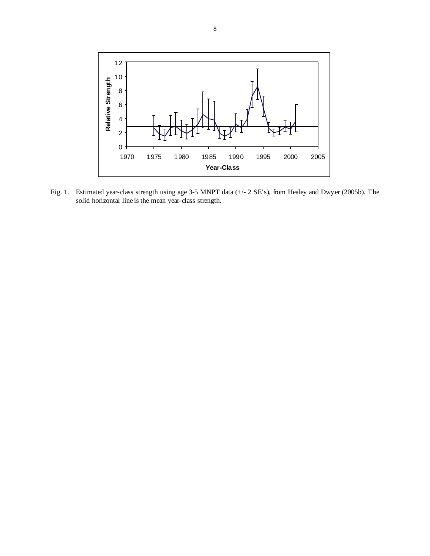

Fig. 1. Estimated year-class strength using age 3-5 MNPT data (+/- 2 SE's), from Healey and Dwyer (2005b). The solid horizontal line is the mean year-class strength.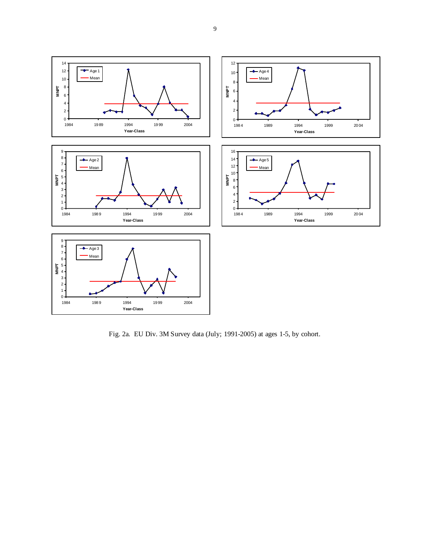

Fig. 2a. EU Div. 3M Survey data (July; 1991-2005) at ages 1-5, by cohort.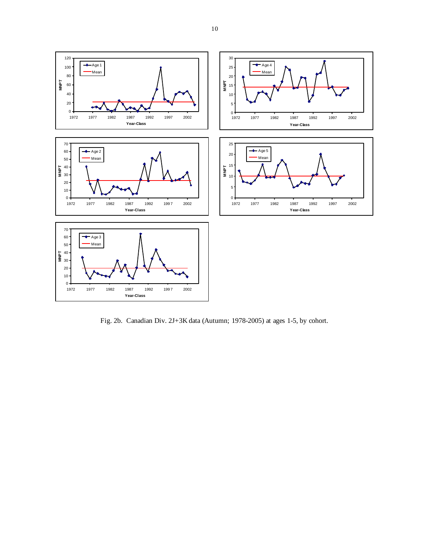

Fig. 2b. Canadian Div. 2J+3K data (Autumn; 1978-2005) at ages 1-5, by cohort.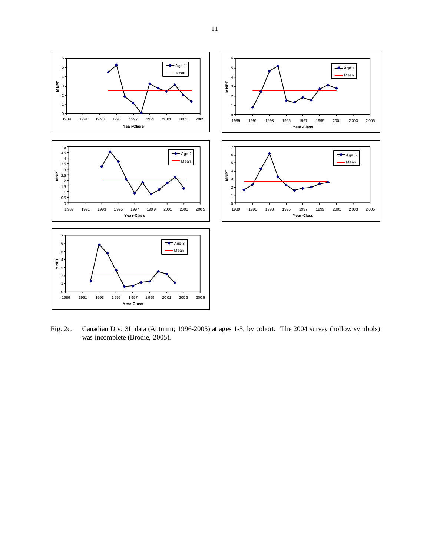

Fig. 2c. Canadian Div. 3L data (Autumn; 1996-2005) at ages 1-5, by cohort. The 2004 survey (hollow symbols) was incomplete (Brodie, 2005).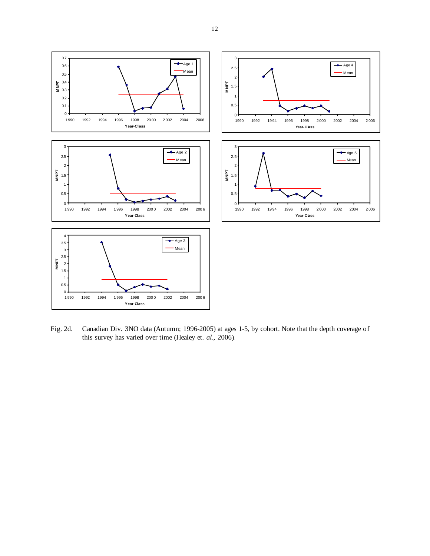

Fig. 2d. Canadian Div. 3NO data (Autumn; 1996-2005) at ages 1-5, by cohort. Note that the depth coverage of this survey has varied over time (Healey et. *al*., 2006).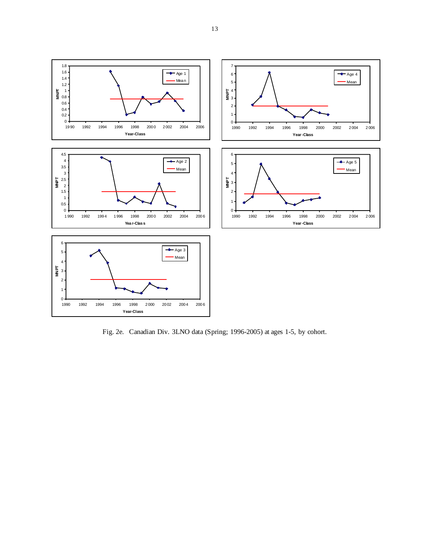

Fig. 2e. Canadian Div. 3LNO data (Spring; 1996-2005) at ages 1-5, by cohort.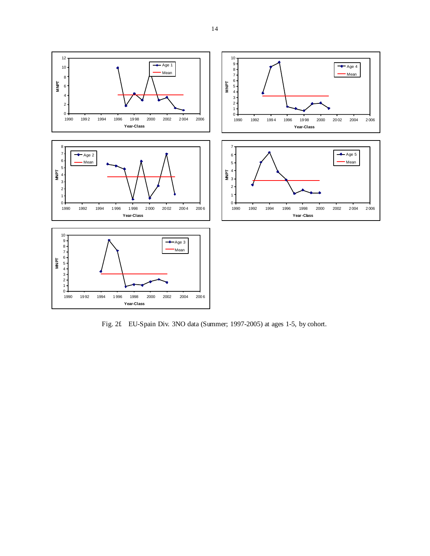

Fig. 2f. EU-Spain Div. 3NO data (Summer; 1997-2005) at ages 1-5, by cohort.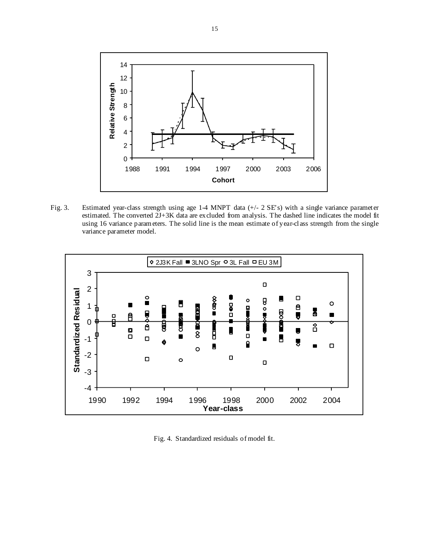

Fig. 3. Estimated year-class strength using age 1-4 MNPT data (+/- 2 SE's) with a single variance parameter estimated. The converted 2J+3K data are excluded from analysis. The dashed line indicates the model fit using 16 variance parameters. The solid line is the mean estimate of year-class strength from the single variance parameter model.



Fig. 4. Standardized residuals of model fit.